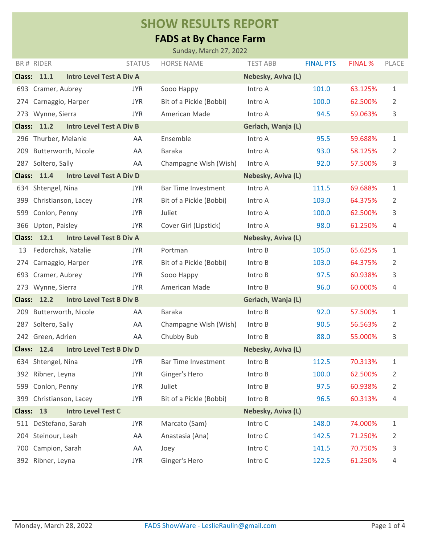## **SHOW RESULTS REPORT**

## **FADS at By Chance Farm**

|               |                                                       |               | Sunday, March 27, 2022     |                    |                  |                |              |
|---------------|-------------------------------------------------------|---------------|----------------------------|--------------------|------------------|----------------|--------------|
|               | BR# RIDER                                             | <b>STATUS</b> | <b>HORSE NAME</b>          | <b>TEST ABB</b>    | <b>FINAL PTS</b> | <b>FINAL %</b> | <b>PLACE</b> |
|               | <b>Class: 11.1</b><br><b>Intro Level Test A Div A</b> |               |                            | Nebesky, Aviva (L) |                  |                |              |
|               | 693 Cramer, Aubrey                                    | <b>JYR</b>    | Sooo Happy                 | Intro A            | 101.0            | 63.125%        | 1            |
| 274           | Carnaggio, Harper                                     | <b>JYR</b>    | Bit of a Pickle (Bobbi)    | Intro A            | 100.0            | 62.500%        | 2            |
|               | 273 Wynne, Sierra                                     | <b>JYR</b>    | American Made              | Intro A            | 94.5             | 59.063%        | 3            |
| <b>Class:</b> | <b>Intro Level Test A Div B</b><br>11.2               |               |                            | Gerlach, Wanja (L) |                  |                |              |
|               | 296 Thurber, Melanie                                  | AA            | Ensemble                   | Intro A            | 95.5             | 59.688%        | 1            |
| 209           | Butterworth, Nicole                                   | AA            | <b>Baraka</b>              | Intro A            | 93.0             | 58.125%        | 2            |
|               | 287 Soltero, Sally                                    | AA            | Champagne Wish (Wish)      | Intro A            | 92.0             | 57.500%        | 3            |
| <b>Class:</b> | <b>Intro Level Test A Div D</b><br>11.4               |               |                            | Nebesky, Aviva (L) |                  |                |              |
|               | 634 Shtengel, Nina                                    | <b>JYR</b>    | <b>Bar Time Investment</b> | Intro A            | 111.5            | 69.688%        | 1            |
| 399           | Christianson, Lacey                                   | <b>JYR</b>    | Bit of a Pickle (Bobbi)    | Intro A            | 103.0            | 64.375%        | 2            |
| 599           | Conlon, Penny                                         | <b>JYR</b>    | Juliet                     | Intro A            | 100.0            | 62.500%        | 3            |
|               | 366 Upton, Paisley                                    | <b>JYR</b>    | Cover Girl (Lipstick)      | Intro A            | 98.0             | 61.250%        | 4            |
|               | <b>Class: 12.1</b><br><b>Intro Level Test B Div A</b> |               |                            | Nebesky, Aviva (L) |                  |                |              |
| 13            | Fedorchak, Natalie                                    | <b>JYR</b>    | Portman                    | Intro B            | 105.0            | 65.625%        | 1            |
| 274           | Carnaggio, Harper                                     | <b>JYR</b>    | Bit of a Pickle (Bobbi)    | Intro B            | 103.0            | 64.375%        | 2            |
| 693           | Cramer, Aubrey                                        | <b>JYR</b>    | Sooo Happy                 | Intro B            | 97.5             | 60.938%        | 3            |
| 273           | Wynne, Sierra                                         | <b>JYR</b>    | American Made              | Intro B            | 96.0             | 60.000%        | 4            |
|               | <b>Intro Level Test B Div B</b><br><b>Class: 12.2</b> |               |                            | Gerlach, Wanja (L) |                  |                |              |
| 209           | Butterworth, Nicole                                   | AA            | <b>Baraka</b>              | Intro B            | 92.0             | 57.500%        | 1            |
| 287           | Soltero, Sally                                        | AA            | Champagne Wish (Wish)      | Intro B            | 90.5             | 56.563%        | 2            |
|               | 242 Green, Adrien                                     | AA            | Chubby Bub                 | Intro B            | 88.0             | 55.000%        | 3            |
| <b>Class:</b> | 12.4<br><b>Intro Level Test B Div D</b>               |               |                            | Nebesky, Aviva (L) |                  |                |              |
|               | 634 Shtengel, Nina                                    | <b>JYR</b>    | <b>Bar Time Investment</b> | Intro B            | 112.5            | 70.313%        | 1            |
|               | 392 Ribner, Leyna                                     | <b>JYR</b>    | Ginger's Hero              | Intro B            | 100.0            | 62.500%        | 2            |
| 599           | Conlon, Penny                                         | <b>JYR</b>    | Juliet                     | Intro B            | 97.5             | 60.938%        | 2            |
|               | 399 Christianson, Lacey                               | <b>JYR</b>    | Bit of a Pickle (Bobbi)    | Intro B            | 96.5             | 60.313%        | 4            |
|               | Class: 13<br><b>Intro Level Test C</b>                |               |                            | Nebesky, Aviva (L) |                  |                |              |
|               | 511 DeStefano, Sarah                                  | <b>JYR</b>    | Marcato (Sam)              | Intro C            | 148.0            | 74.000%        | $\mathbf{1}$ |
|               | 204 Steinour, Leah                                    | AA            | Anastasia (Ana)            | Intro C            | 142.5            | 71.250%        | 2            |
| 700           | Campion, Sarah                                        | AA            | Joey                       | Intro C            | 141.5            | 70.750%        | 3            |
|               | 392 Ribner, Leyna                                     | <b>JYR</b>    | Ginger's Hero              | Intro C            | 122.5            | 61.250%        | 4            |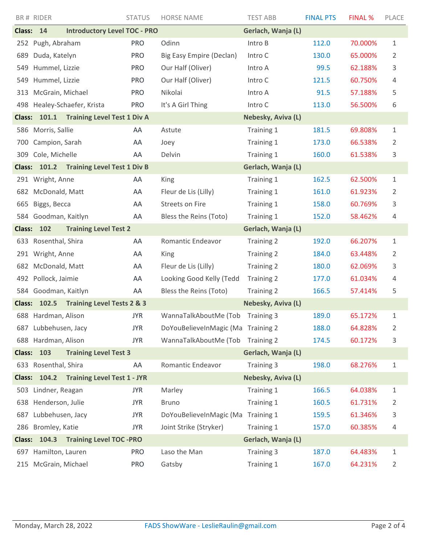|               | BR# RIDER            |                                          | <b>STATUS</b> | <b>HORSE NAME</b>                  | <b>TEST ABB</b>    | <b>FINAL PTS</b> | <b>FINAL %</b> | PLACE          |
|---------------|----------------------|------------------------------------------|---------------|------------------------------------|--------------------|------------------|----------------|----------------|
| <b>Class:</b> | 14                   | <b>Introductory Level TOC - PRO</b>      |               |                                    | Gerlach, Wanja (L) |                  |                |                |
| 252           | Pugh, Abraham        |                                          | <b>PRO</b>    | Odinn                              | Intro B            | 112.0            | 70.000%        | 1              |
| 689           | Duda, Katelyn        |                                          | <b>PRO</b>    | Big Easy Empire (Declan)           | Intro C            | 130.0            | 65.000%        | 2              |
| 549           | Hummel, Lizzie       |                                          | <b>PRO</b>    | Our Half (Oliver)                  | Intro A            | 99.5             | 62.188%        | 3              |
| 549           | Hummel, Lizzie       |                                          | <b>PRO</b>    | Our Half (Oliver)                  | Intro C            | 121.5            | 60.750%        | 4              |
| 313           | McGrain, Michael     |                                          | <b>PRO</b>    | Nikolai                            | Intro A            | 91.5             | 57.188%        | 5              |
| 498           |                      | Healey-Schaefer, Krista                  | <b>PRO</b>    | It's A Girl Thing                  | Intro C            | 113.0            | 56.500%        | 6              |
|               |                      | Class: 101.1 Training Level Test 1 Div A |               |                                    | Nebesky, Aviva (L) |                  |                |                |
|               | 586 Morris, Sallie   |                                          | AA            | Astute                             | Training 1         | 181.5            | 69.808%        | $\mathbf{1}$   |
| 700           | Campion, Sarah       |                                          | AA            | Joey                               | Training 1         | 173.0            | 66.538%        | 2              |
| 309           | Cole, Michelle       |                                          | AA            | Delvin                             | Training 1         | 160.0            | 61.538%        | 3              |
| <b>Class:</b> | 101.2                | <b>Training Level Test 1 Div B</b>       |               |                                    | Gerlach, Wanja (L) |                  |                |                |
|               | 291 Wright, Anne     |                                          | AA            | King                               | Training 1         | 162.5            | 62.500%        | $\mathbf{1}$   |
|               | 682 McDonald, Matt   |                                          | AA            | Fleur de Lis (Lilly)               | Training 1         | 161.0            | 61.923%        | 2              |
| 665           | Biggs, Becca         |                                          | AA            | <b>Streets on Fire</b>             | Training 1         | 158.0            | 60.769%        | 3              |
| 584           | Goodman, Kaitlyn     |                                          | AA            | Bless the Reins (Toto)             | Training 1         | 152.0            | 58.462%        | 4              |
| <b>Class:</b> | 102                  | <b>Training Level Test 2</b>             |               |                                    | Gerlach, Wanja (L) |                  |                |                |
| 633           | Rosenthal, Shira     |                                          | AA            | Romantic Endeavor                  | Training 2         | 192.0            | 66.207%        | 1              |
|               | 291 Wright, Anne     |                                          | AA            | King                               | Training 2         | 184.0            | 63.448%        | 2              |
|               | 682 McDonald, Matt   |                                          | AA            | Fleur de Lis (Lilly)               | Training 2         | 180.0            | 62.069%        | 3              |
|               | 492 Pollock, Jaimie  |                                          | AA            | Looking Good Kelly (Tedd           | Training 2         | 177.0            | 61.034%        | 4              |
| 584           | Goodman, Kaitlyn     |                                          | AA            | Bless the Reins (Toto)             | Training 2         | 166.5            | 57.414%        | 5              |
| <b>Class:</b> | 102.5                | <b>Training Level Tests 2 &amp; 3</b>    |               |                                    | Nebesky, Aviva (L) |                  |                |                |
|               | 688 Hardman, Alison  |                                          | <b>JYR</b>    | WannaTalkAboutMe (Tob              | Training 3         | 189.0            | 65.172%        | 1              |
|               | 687 Lubbehusen, Jacy |                                          | <b>JYR</b>    | DoYouBelieveInMagic (Ma Training 2 |                    | 188.0            | 64.828%        | 2              |
|               | 688 Hardman, Alison  |                                          | <b>JYR</b>    | WannaTalkAboutMe (Tob              | Training 2         | 174.5            | 60.172%        | 3              |
| <b>Class:</b> | 103                  | <b>Training Level Test 3</b>             |               |                                    | Gerlach, Wanja (L) |                  |                |                |
|               | 633 Rosenthal, Shira |                                          | AA            | Romantic Endeavor                  | Training 3         | 198.0            | 68.276%        | $1\,$          |
|               |                      | Class: 104.2 Training Level Test 1 - JYR |               |                                    | Nebesky, Aviva (L) |                  |                |                |
|               | 503 Lindner, Reagan  |                                          | <b>JYR</b>    | Marley                             | Training 1         | 166.5            | 64.038%        | $\mathbf 1$    |
|               | 638 Henderson, Julie |                                          | <b>JYR</b>    | <b>Bruno</b>                       | Training 1         | 160.5            | 61.731%        | 2              |
| 687           | Lubbehusen, Jacy     |                                          | <b>JYR</b>    | DoYouBelieveInMagic (Ma            | Training 1         | 159.5            | 61.346%        | 3              |
|               | 286 Bromley, Katie   |                                          | <b>JYR</b>    | Joint Strike (Stryker)             | Training 1         | 157.0            | 60.385%        | 4              |
| <b>Class:</b> | 104.3                | <b>Training Level TOC -PRO</b>           |               |                                    | Gerlach, Wanja (L) |                  |                |                |
|               | 697 Hamilton, Lauren |                                          | <b>PRO</b>    | Laso the Man                       | Training 3         | 187.0            | 64.483%        | $\mathbf 1$    |
|               | 215 McGrain, Michael |                                          | <b>PRO</b>    | Gatsby                             | Training 1         | 167.0            | 64.231%        | $\overline{2}$ |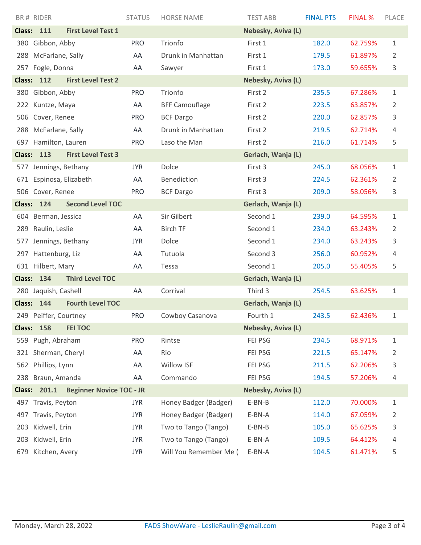|                                                                                 | BR# RIDER               |                           | <b>STATUS</b> | <b>HORSE NAME</b>      | <b>TEST ABB</b>    | <b>FINAL PTS</b> | <b>FINAL %</b> | PLACE |
|---------------------------------------------------------------------------------|-------------------------|---------------------------|---------------|------------------------|--------------------|------------------|----------------|-------|
|                                                                                 | <b>Class: 111</b>       | <b>First Level Test 1</b> |               |                        | Nebesky, Aviva (L) |                  |                |       |
|                                                                                 | 380 Gibbon, Abby        |                           | <b>PRO</b>    | Trionfo                | First 1            | 182.0            | 62.759%        | 1     |
| 288                                                                             | McFarlane, Sally        |                           | AA            | Drunk in Manhattan     | First 1            | 179.5            | 61.897%        | 2     |
|                                                                                 | 257 Fogle, Donna        |                           | AA            | Sawyer                 | First 1            | 173.0            | 59.655%        | 3     |
| <b>Class:</b>                                                                   | 112                     | <b>First Level Test 2</b> |               |                        | Nebesky, Aviva (L) |                  |                |       |
|                                                                                 | 380 Gibbon, Abby        |                           | <b>PRO</b>    | Trionfo                | First 2            | 235.5            | 67.286%        | 1     |
| 222                                                                             | Kuntze, Maya            |                           | AA            | <b>BFF Camouflage</b>  | First 2            | 223.5            | 63.857%        | 2     |
| 506                                                                             | Cover, Renee            |                           | <b>PRO</b>    | <b>BCF Dargo</b>       | First 2            | 220.0            | 62.857%        | 3     |
| 288                                                                             | McFarlane, Sally        |                           | AA            | Drunk in Manhattan     | First 2            | 219.5            | 62.714%        | 4     |
|                                                                                 | 697 Hamilton, Lauren    |                           | <b>PRO</b>    | Laso the Man           | First 2            | 216.0            | 61.714%        | 5     |
|                                                                                 | <b>Class: 113</b>       | <b>First Level Test 3</b> |               |                        | Gerlach, Wanja (L) |                  |                |       |
|                                                                                 | 577 Jennings, Bethany   |                           | <b>JYR</b>    | Dolce                  | First 3            | 245.0            | 68.056%        | 1     |
|                                                                                 | 671 Espinosa, Elizabeth |                           | AA            | Benediction            | First 3            | 224.5            | 62.361%        | 2     |
|                                                                                 | 506 Cover, Renee        |                           | <b>PRO</b>    | <b>BCF Dargo</b>       | First 3            | 209.0            | 58.056%        | 3     |
|                                                                                 | <b>Class: 124</b>       | <b>Second Level TOC</b>   |               |                        | Gerlach, Wanja (L) |                  |                |       |
| 604                                                                             | Berman, Jessica         |                           | AA            | Sir Gilbert            | Second 1           | 239.0            | 64.595%        | 1     |
| 289                                                                             | Raulin, Leslie          |                           | AA            | <b>Birch TF</b>        | Second 1           | 234.0            | 63.243%        | 2     |
| 577                                                                             | Jennings, Bethany       |                           | <b>JYR</b>    | Dolce                  | Second 1           | 234.0            | 63.243%        | 3     |
|                                                                                 | 297 Hattenburg, Liz     |                           | AA            | Tutuola                | Second 3           | 256.0            | 60.952%        | 4     |
|                                                                                 | 631 Hilbert, Mary       |                           | AA            | Tessa                  | Second 1           | 205.0            | 55.405%        | 5     |
| <b>Third Level TOC</b><br><b>Class: 134</b><br>Gerlach, Wanja (L)               |                         |                           |               |                        |                    |                  |                |       |
| 280                                                                             | Jaquish, Cashell        |                           | AA            | Corrival               | Third 3            | 254.5            | 63.625%        | 1     |
|                                                                                 | <b>Class: 144</b>       | <b>Fourth Level TOC</b>   |               |                        | Gerlach, Wanja (L) |                  |                |       |
|                                                                                 | 249 Peiffer, Courtney   |                           | <b>PRO</b>    | Cowboy Casanova        | Fourth 1           | 243.5            | 62.436%        | 1     |
| <b>Class:</b>                                                                   | 158                     | <b>FEI TOC</b>            |               |                        | Nebesky, Aviva (L) |                  |                |       |
| 559                                                                             | Pugh, Abraham           |                           | <b>PRO</b>    | Rintse                 | FEI PSG            | 234.5            | 68.971%        | 1     |
| 321                                                                             | Sherman, Cheryl         |                           | AA            | Rio                    | FEI PSG            | 221.5            | 65.147%        | 2     |
| 562                                                                             | Phillips, Lynn          |                           | AA            | Willow ISF             | FEI PSG            | 211.5            | 62.206%        | 3     |
| 238                                                                             | Braun, Amanda           |                           | AA            | Commando               | FEI PSG            | 194.5            | 57.206%        | 4     |
| <b>Beginner Novice TOC - JR</b><br>Nebesky, Aviva (L)<br><b>Class:</b><br>201.1 |                         |                           |               |                        |                    |                  |                |       |
|                                                                                 | 497 Travis, Peyton      |                           | <b>JYR</b>    | Honey Badger (Badger)  | E-BN-B             | 112.0            | 70.000%        | 1     |
| 497                                                                             | Travis, Peyton          |                           | <b>JYR</b>    | Honey Badger (Badger)  | E-BN-A             | 114.0            | 67.059%        | 2     |
| 203                                                                             | Kidwell, Erin           |                           | <b>JYR</b>    | Two to Tango (Tango)   | E-BN-B             | 105.0            | 65.625%        | 3     |
| 203                                                                             | Kidwell, Erin           |                           | <b>JYR</b>    | Two to Tango (Tango)   | E-BN-A             | 109.5            | 64.412%        | 4     |
| 679                                                                             | Kitchen, Avery          |                           | <b>JYR</b>    | Will You Remember Me ( | E-BN-A             | 104.5            | 61.471%        | 5     |